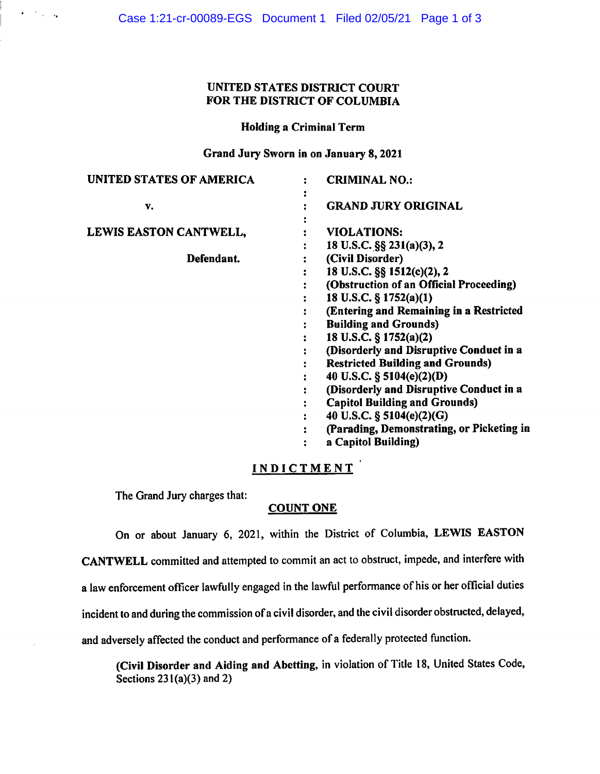## UNITED STATES DISTRICT COURT FOR THE DISTRICT OF COLUMBIA

## Holding a Criminal Term

Grand Jury Sworn in on January 8, 2021

| UNITED STATES OF AMERICA      | <b>CRIMINAL NO.:</b>                         |
|-------------------------------|----------------------------------------------|
|                               |                                              |
| v.                            | <b>GRAND JURY ORIGINAL</b>                   |
|                               |                                              |
| <b>LEWIS EASTON CANTWELL,</b> | <b>VIOLATIONS:</b>                           |
|                               | 18 U.S.C. §§ 231(a)(3), 2                    |
| Defendant.                    | (Civil Disorder)                             |
|                               | 18 U.S.C. §§ 1512(c)(2), 2                   |
|                               | (Obstruction of an Official Proceeding)<br>٠ |
|                               | 18 U.S.C. § 1752(a)(1)                       |
|                               | (Entering and Remaining in a Restricted      |
|                               | <b>Building and Grounds)</b>                 |
|                               | 18 U.S.C. § 1752(a)(2)                       |
|                               | (Disorderly and Disruptive Conduct in a      |
|                               | <b>Restricted Building and Grounds)</b>      |
|                               | 40 U.S.C. § 5104(e)(2)(D)                    |
|                               | (Disorderly and Disruptive Conduct in a      |
|                               | <b>Capitol Building and Grounds)</b>         |
|                               | 40 U.S.C. § 5104(e)(2)(G)                    |
|                               | (Parading, Demonstrating, or Picketing in    |
|                               | a Capitol Building)                          |

# **INDICTMENT**

The Grand Jury charges that:

 $\epsilon \rightarrow \pm \infty$ 

## **COUNT ONE**

On or about January 6, 2021, within the District of Columbia, **LEWIS EASTON CANTWELL** committed and attempted to commit an act to obstruct, impede, and interfere with a law enforcement officer lawfully engaged in the lawful performance of his or her official duties incident to and during the commission of a civil disorder, and the civil disorder obstructed, delayed, and adversely affected the conduct and performance of a federally protected function.

**(Civil Disorder and Aiding and Abetting,** in violation of Title 18, United States Code, Sections  $231(a)(3)$  and 2)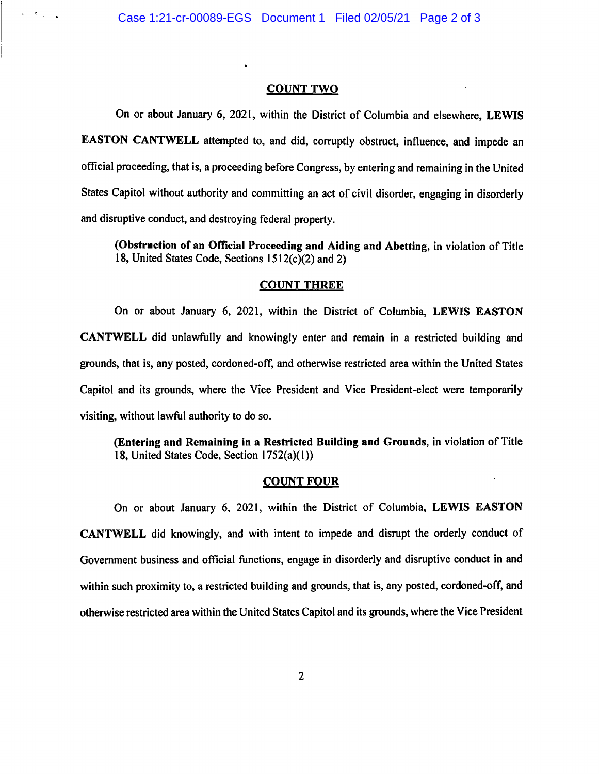$\epsilon = \epsilon_{\rm{max}}$ 

## **COUNT TWO**

On or about January 6, 2021, within the District of Columbia and elsewhere, **LEWIS EASTON CANTWELL** attempted to, and did, corruptly obstruct, influence, and impede an official proceeding, that is, a proceeding before Congress, by entering and remaining in the United States Capitol without authority and committing an act of civil disorder, engaging in disorderly and disruptive conduct, and destroying federal property.

**(Obstruction of an Official Proceeding and Aiding and Abetting,** in violation of Title 18, United States Code, Sections  $1512(c)(2)$  and 2)

#### **COUNT THREE**

On or about January 6, 2021, within the District of Columbia, **LEWIS EASTON CANTWELL** did unlawfully and knowingly enter and remain in a restricted building and grounds, that is, any posted, cordoned-off, and otherwise restricted area within the United States Capitol and its grounds, where the Vice President and Vice President-elect were temporarily visiting, without lawful authority to do so.

**(Entering and Remaining in a Restricted Building and Grounds,** in violation of Title 18, United States Code, Section I 752(a)(l ))

## **COUNT FOUR**

On or about January 6, 2021, within the District of Columbia, **LEWIS EASTON CANTWELL** did knowingly, and with intent to impede and disrupt the orderly conduct of Government business and official functions, engage in disorderly and disruptive conduct in and within such proximity to, a restricted building and grounds, that is, any posted, cordoned-off, and otherwise restricted area within the United States Capitol and its grounds, where the Vice President